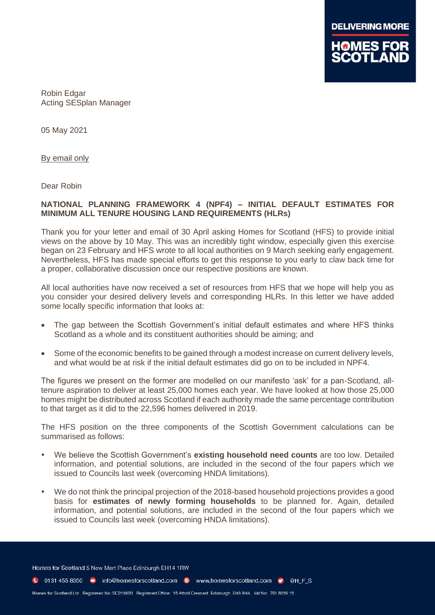

Robin Edgar Acting SESplan Manager

05 May 2021

By email only

Dear Robin

## **NATIONAL PLANNING FRAMEWORK 4 (NPF4) – INITIAL DEFAULT ESTIMATES FOR MINIMUM ALL TENURE HOUSING LAND REQUIREMENTS (HLRs)**

Thank you for your letter and email of 30 April asking Homes for Scotland (HFS) to provide initial views on the above by 10 May. This was an incredibly tight window, especially given this exercise began on 23 February and HFS wrote to all local authorities on 9 March seeking early engagement. Nevertheless, HFS has made special efforts to get this response to you early to claw back time for a proper, collaborative discussion once our respective positions are known.

All local authorities have now received a set of resources from HFS that we hope will help you as you consider your desired delivery levels and corresponding HLRs. In this letter we have added some locally specific information that looks at:

- The gap between the Scottish Government's initial default estimates and where HFS thinks Scotland as a whole and its constituent authorities should be aiming; and
- Some of the economic benefits to be gained through a modest increase on current delivery levels, and what would be at risk if the initial default estimates did go on to be included in NPF4.

The figures we present on the former are modelled on our manifesto 'ask' for a pan-Scotland, alltenure aspiration to deliver at least 25,000 homes each year. We have looked at how those 25,000 homes might be distributed across Scotland if each authority made the same percentage contribution to that target as it did to the 22,596 homes delivered in 2019.

The HFS position on the three components of the Scottish Government calculations can be summarised as follows:

- We believe the Scottish Government's **existing household need counts** are too low. Detailed information, and potential solutions, are included in the second of the four papers which we issued to Councils last week (overcoming HNDA limitations).
- We do not think the principal projection of the 2018-based household projections provides a good basis for **estimates of newly forming households** to be planned for. Again, detailed information, and potential solutions, are included in the second of the four papers which we issued to Councils last week (overcoming HNDA limitations).

Homes for Scotland 5 New Mart Place Edinburgh EH14 1RW

C 0131 455 8350 m info@homesforscotland.com · www.homesforscotland.com • ©HFS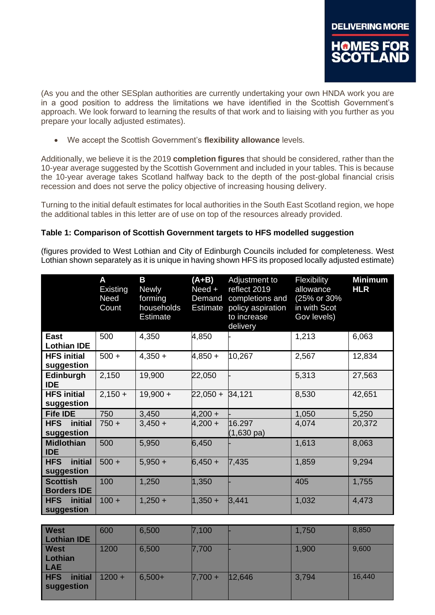(As you and the other SESplan authorities are currently undertaking your own HNDA work you are in a good position to address the limitations we have identified in the Scottish Government's approach. We look forward to learning the results of that work and to liaising with you further as you prepare your locally adjusted estimates).

• We accept the Scottish Government's **flexibility allowance** levels.

Additionally, we believe it is the 2019 **completion figures** that should be considered, rather than the 10-year average suggested by the Scottish Government and included in your tables. This is because the 10-year average takes Scotland halfway back to the depth of the post-global financial crisis recession and does not serve the policy objective of increasing housing delivery.

Turning to the initial default estimates for local authorities in the South East Scotland region, we hope the additional tables in this letter are of use on top of the resources already provided.

## **Table 1: Comparison of Scottish Government targets to HFS modelled suggestion**

(figures provided to West Lothian and City of Edinburgh Councils included for completeness. West Lothian shown separately as it is unique in having shown HFS its proposed locally adjusted estimate)

|                                       | A<br>Existing<br>Need<br>Count | Β<br>Newly<br>forming<br>households<br><b>Estimate</b> | $(A+B)$<br>Need +<br>Demand<br><b>Estimate</b> | Adjustment to<br>reflect 2019<br>completions and<br>policy aspiration<br>to increase<br>delivery | Flexibility<br>allowance<br>(25% or 30%<br>in with Scot<br>Gov levels) | <b>Minimum</b><br><b>HLR</b> |
|---------------------------------------|--------------------------------|--------------------------------------------------------|------------------------------------------------|--------------------------------------------------------------------------------------------------|------------------------------------------------------------------------|------------------------------|
| East<br><b>Lothian IDE</b>            | 500                            | 4,350                                                  | 4,850                                          |                                                                                                  | 1,213                                                                  | 6,063                        |
| <b>HFS initial</b><br>suggestion      | $500 +$                        | $4,350 +$                                              | $4,850 +$                                      | 10,267                                                                                           | 2,567                                                                  | 12,834                       |
| Edinburgh<br><b>IDE</b>               | 2,150                          | 19,900                                                 | 22,050                                         |                                                                                                  | 5,313                                                                  | 27,563                       |
| <b>HFS initial</b><br>suggestion      | $2,150 +$                      | $19,900 +$                                             | $22,050 +$                                     | 34,121                                                                                           | 8,530                                                                  | 42,651                       |
| <b>Fife IDE</b>                       | 750                            | 3,450                                                  | $4,200 +$                                      |                                                                                                  | 1,050                                                                  | 5,250                        |
| initial<br><b>HFS</b><br>suggestion   | $750 +$                        | $3,450 +$                                              | $4,200 +$                                      | 16.297<br>$(1,630 \text{ pa})$                                                                   | 4,074                                                                  | 20,372                       |
| <b>Midlothian</b><br><b>IDE</b>       | 500                            | 5,950                                                  | 6,450                                          |                                                                                                  | 1,613                                                                  | 8,063                        |
| initial<br><b>HFS</b><br>suggestion   | $500 +$                        | $5,950 +$                                              | $6,450 +$                                      | 7,435                                                                                            | 1,859                                                                  | 9,294                        |
| <b>Scottish</b><br><b>Borders IDE</b> | 100                            | 1,250                                                  | 1,350                                          |                                                                                                  | 405                                                                    | 1,755                        |
| initial<br><b>HFS</b><br>suggestion   | $100 +$                        | $1,250 +$                                              | $1,350 +$                                      | 3,441                                                                                            | 1,032                                                                  | 4,473                        |

| <b>West</b><br><b>Lothian IDE</b>    | 600      | 6,500    | 7,100     |        | 1,750 | 8,850  |
|--------------------------------------|----------|----------|-----------|--------|-------|--------|
| <b>West</b><br>Lothian<br><b>LAE</b> | 1200     | 6,500    | 7,700     |        | 1,900 | 9,600  |
| <b>HFS</b><br>initial<br>suggestion  | $1200 +$ | $6,500+$ | $7,700 +$ | 12,646 | 3,794 | 16,440 |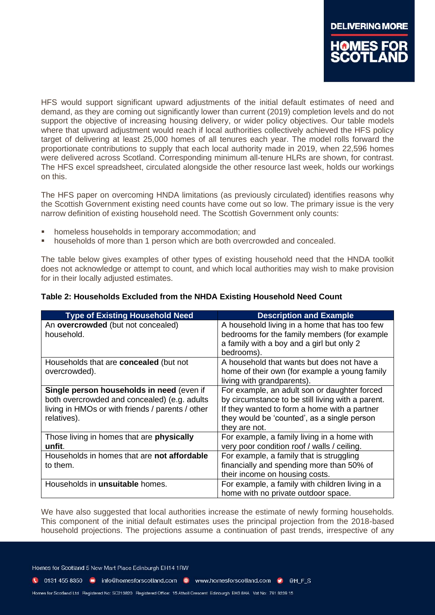HFS would support significant upward adjustments of the initial default estimates of need and demand, as they are coming out significantly lower than current (2019) completion levels and do not support the objective of increasing housing delivery, or wider policy objectives. Our table models where that upward adjustment would reach if local authorities collectively achieved the HFS policy target of delivering at least 25,000 homes of all tenures each year. The model rolls forward the proportionate contributions to supply that each local authority made in 2019, when 22,596 homes were delivered across Scotland. Corresponding minimum all-tenure HLRs are shown, for contrast. The HFS excel spreadsheet, circulated alongside the other resource last week, holds our workings on this.

The HFS paper on overcoming HNDA limitations (as previously circulated) identifies reasons why the Scottish Government existing need counts have come out so low. The primary issue is the very narrow definition of existing household need. The Scottish Government only counts:

- homeless households in temporary accommodation; and
- households of more than 1 person which are both overcrowded and concealed.

The table below gives examples of other types of existing household need that the HNDA toolkit does not acknowledge or attempt to count, and which local authorities may wish to make provision for in their locally adjusted estimates.

| <b>Type of Existing Household Need</b>           | <b>Description and Example</b>                    |
|--------------------------------------------------|---------------------------------------------------|
| An overcrowded (but not concealed)               | A household living in a home that has too few     |
| household.                                       | bedrooms for the family members (for example      |
|                                                  | a family with a boy and a girl but only 2         |
|                                                  | bedrooms).                                        |
| Households that are concealed (but not           | A household that wants but does not have a        |
| overcrowded).                                    | home of their own (for example a young family     |
|                                                  | living with grandparents).                        |
| Single person households in need (even if        | For example, an adult son or daughter forced      |
| both overcrowded and concealed) (e.g. adults     | by circumstance to be still living with a parent. |
| living in HMOs or with friends / parents / other | If they wanted to form a home with a partner      |
| relatives).                                      | they would be 'counted', as a single person       |
|                                                  | they are not.                                     |
| Those living in homes that are physically        | For example, a family living in a home with       |
| unfit.                                           | very poor condition roof / walls / ceiling.       |
| Households in homes that are not affordable      | For example, a family that is struggling          |
| to them.                                         | financially and spending more than 50% of         |
|                                                  | their income on housing costs.                    |
| Households in <b>unsuitable</b> homes.           | For example, a family with children living in a   |
|                                                  | home with no private outdoor space.               |

## **Table 2: Households Excluded from the NHDA Existing Household Need Count**

We have also suggested that local authorities increase the estimate of newly forming households. This component of the initial default estimates uses the principal projection from the 2018-based household projections. The projections assume a continuation of past trends, irrespective of any

Homes for Scotland 5 New Mart Place Edinburgh EH14 1RW

1 0131 455 8350 minfo@homesforscotland.com · www.homesforscotland.com • ©HFS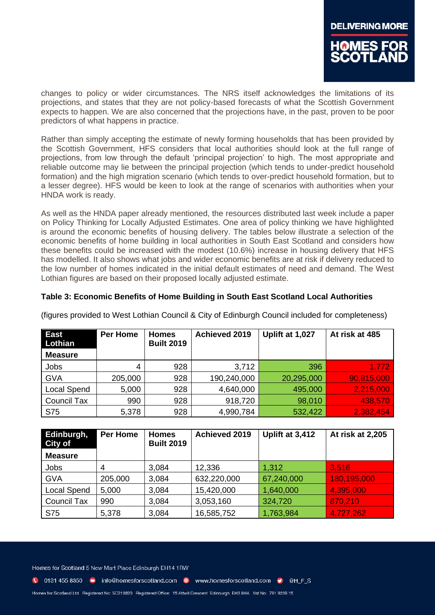

changes to policy or wider circumstances. The NRS itself acknowledges the limitations of its projections, and states that they are not policy-based forecasts of what the Scottish Government expects to happen. We are also concerned that the projections have, in the past, proven to be poor predictors of what happens in practice.

Rather than simply accepting the estimate of newly forming households that has been provided by the Scottish Government, HFS considers that local authorities should look at the full range of projections, from low through the default 'principal projection' to high. The most appropriate and reliable outcome may lie between the principal projection (which tends to under-predict household formation) and the high migration scenario (which tends to over-predict household formation, but to a lesser degree). HFS would be keen to look at the range of scenarios with authorities when your HNDA work is ready.

As well as the HNDA paper already mentioned, the resources distributed last week include a paper on Policy Thinking for Locally Adjusted Estimates. One area of policy thinking we have highlighted is around the economic benefits of housing delivery. The tables below illustrate a selection of the economic benefits of home building in local authorities in South East Scotland and considers how these benefits could be increased with the modest (10.6%) increase in housing delivery that HFS has modelled. It also shows what jobs and wider economic benefits are at risk if delivery reduced to the low number of homes indicated in the initial default estimates of need and demand. The West Lothian figures are based on their proposed locally adjusted estimate.

## **Table 3: Economic Benefits of Home Building in South East Scotland Local Authorities**

| <b>East</b><br>Lothian<br><b>Measure</b> | <b>Per Home</b> | <b>Homes</b><br><b>Built 2019</b> | Achieved 2019 | Uplift at 1,027 | At risk at 485 |
|------------------------------------------|-----------------|-----------------------------------|---------------|-----------------|----------------|
| Jobs                                     | 4               | 928                               | 3,712         | 396             | 1,772          |
| <b>GVA</b>                               | 205,000         | 928                               | 190,240,000   | 20,295,000      | 90,815,000     |
| <b>Local Spend</b>                       | 5,000           | 928                               | 4,640,000     | 495,000         | 2,215,000      |
| <b>Council Tax</b>                       | 990             | 928                               | 918,720       | 98,010          | 438,570        |
| <b>S75</b>                               | 5,378           | 928                               | 4,990,784     | 532,422         | 2,382,454      |

(figures provided to West Lothian Council & City of Edinburgh Council included for completeness)

| Edinburgh,<br>City of | <b>Per Home</b> | <b>Homes</b><br><b>Built 2019</b> | Achieved 2019 | Uplift at 3,412 | At risk at 2,205 |
|-----------------------|-----------------|-----------------------------------|---------------|-----------------|------------------|
| <b>Measure</b>        |                 |                                   |               |                 |                  |
| Jobs                  | 4               | 3.084                             | 12,336        | 1,312           | 3,516            |
| <b>GVA</b>            | 205,000         | 3,084                             | 632,220,000   | 67,240,000      | 180,195,000      |
| <b>Local Spend</b>    | 5,000           | 3.084                             | 15,420,000    | 1,640,000       | 4,395,000        |
| <b>Council Tax</b>    | 990             | 3,084                             | 3,053,160     | 324,720         | 870,210          |
| S75                   | 5,378           | 3,084                             | 16,585,752    | 1,763,984       | 4,727,262        |

Homes for Scotland 5 New Mart Place Edinburgh EH14 1RW

C 0131 455 8350 m info@homesforscotland.com · www.homesforscotland.com • ©HFS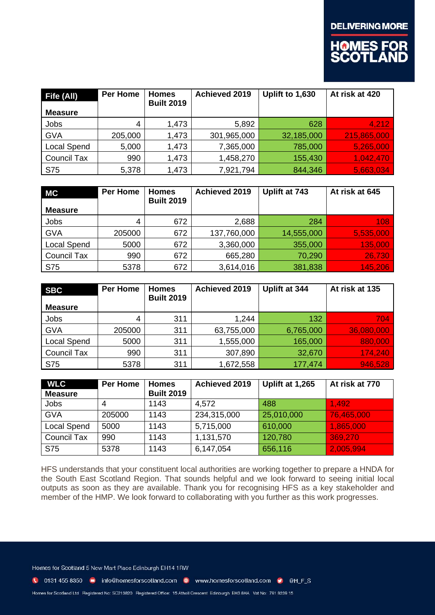

| Fife (All)         | Per Home | <b>Homes</b><br><b>Built 2019</b> | <b>Achieved 2019</b> | Uplift to 1,630 | At risk at 420 |
|--------------------|----------|-----------------------------------|----------------------|-----------------|----------------|
| <b>Measure</b>     |          |                                   |                      |                 |                |
| Jobs               | 4        | 1,473                             | 5,892                | 628             | 4,212          |
| <b>GVA</b>         | 205,000  | 1,473                             | 301,965,000          | 32,185,000      | 215,865,000    |
| <b>Local Spend</b> | 5,000    | 1,473                             | 7,365,000            | 785,000         | 5,265,000      |
| <b>Council Tax</b> | 990      | 1,473                             | 1,458,270            | 155,430         | 1,042,470      |
| S75                | 5,378    | 1,473                             | 7,921,794            | 844,346         | 5,663,034      |

| МC                 | <b>Per Home</b> | <b>Homes</b><br><b>Built 2019</b> | <b>Achieved 2019</b> | Uplift at 743 | At risk at 645 |
|--------------------|-----------------|-----------------------------------|----------------------|---------------|----------------|
| <b>Measure</b>     |                 |                                   |                      |               |                |
| Jobs               | 4               | 672                               | 2,688                | 284           | 108            |
| <b>GVA</b>         | 205000          | 672                               | 137,760,000          | 14,555,000    | 5,535,000      |
| <b>Local Spend</b> | 5000            | 672                               | 3,360,000            | 355,000       | 135,000        |
| <b>Council Tax</b> | 990             | 672                               | 665,280              | 70,290        | 26,730         |
| S75                | 5378            | 672                               | 3,614,016            | 381,838       | 145,206        |

| <b>SBC</b>         | <b>Per Home</b> | <b>Homes</b><br><b>Built 2019</b> | <b>Achieved 2019</b> | Uplift at 344 | At risk at 135 |
|--------------------|-----------------|-----------------------------------|----------------------|---------------|----------------|
| <b>Measure</b>     |                 |                                   |                      |               |                |
| Jobs               | 4               | 311                               | 1,244                | 132           | 704            |
| <b>GVA</b>         | 205000          | 311                               | 63,755,000           | 6,765,000     | 36,080,000     |
| <b>Local Spend</b> | 5000            | 311                               | 1,555,000            | 165,000       | 880,000        |
| <b>Council Tax</b> | 990             | 311                               | 307,890              | 32,670        | 174,240        |
| S75                | 5378            | 311                               | 1,672,558            | 177,474       | 946,528        |

| <b>WLC</b>         | <b>Per Home</b> | <b>Homes</b>      | <b>Achieved 2019</b> | Uplift at 1,265 | At risk at 770 |
|--------------------|-----------------|-------------------|----------------------|-----------------|----------------|
| <b>Measure</b>     |                 | <b>Built 2019</b> |                      |                 |                |
| Jobs               | 4               | 1143              | 4.572                | 488             | 1,492          |
| <b>GVA</b>         | 205000          | 1143              | 234,315,000          | 25,010,000      | 76,465,000     |
| Local Spend        | 5000            | 1143              | 5,715,000            | 610,000         | 1,865,000      |
| <b>Council Tax</b> | 990             | 1143              | 1,131,570            | 120,780         | 369,270        |
| S75                | 5378            | 1143              | 6,147,054            | 656,116         | 2,005,994      |

HFS understands that your constituent local authorities are working together to prepare a HNDA for the South East Scotland Region. That sounds helpful and we look forward to seeing initial local outputs as soon as they are available. Thank you for recognising HFS as a key stakeholder and member of the HMP. We look forward to collaborating with you further as this work progresses.

Homes for Scotland 5 New Mart Place Edinburgh EH14 1RW

C 0131 455 8350 m info@homesforscotland.com · www.homesforscotland.com • @H\_F\_S